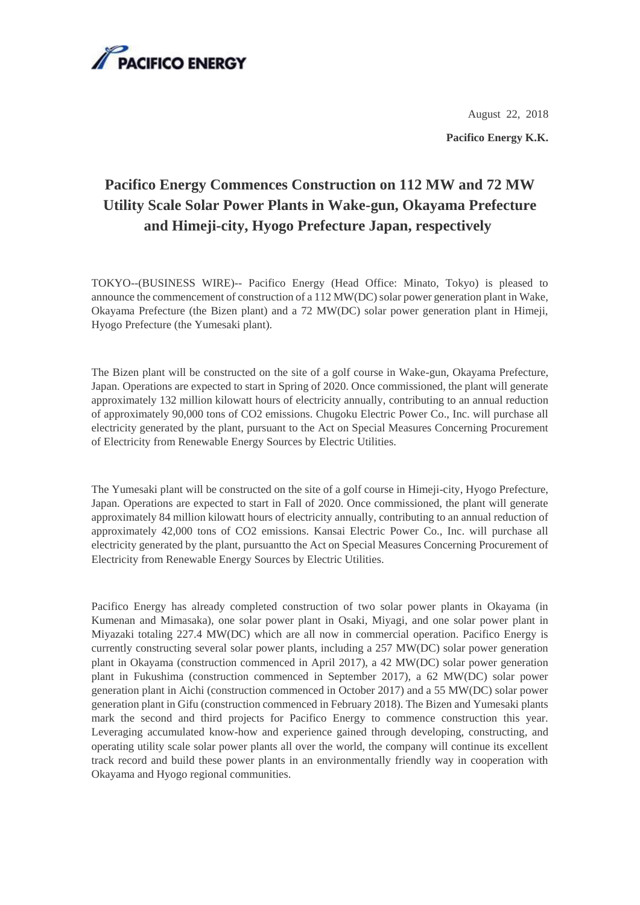

August 22, 2018 **Pacifico Energy K.K.**

## **Pacifico Energy Commences Construction on 112 MW and 72 MW Utility Scale Solar Power Plants in Wake-gun, Okayama Prefecture and Himeji-city, Hyogo Prefecture Japan, respectively**

TOKYO--(BUSINESS WIRE)-- Pacifico Energy (Head Office: Minato, Tokyo) is pleased to announce the commencement of construction of a 112 MW(DC) solar power generation plant in Wake, Okayama Prefecture (the Bizen plant) and a 72 MW(DC) solar power generation plant in Himeji, Hyogo Prefecture (the Yumesaki plant).

The Bizen plant will be constructed on the site of a golf course in Wake-gun, Okayama Prefecture, Japan. Operations are expected to start in Spring of 2020. Once commissioned, the plant will generate approximately 132 million kilowatt hours of electricity annually, contributing to an annual reduction of approximately 90,000 tons of CO2 emissions. Chugoku Electric Power Co., Inc. will purchase all electricity generated by the plant, pursuant to the Act on Special Measures Concerning Procurement of Electricity from Renewable Energy Sources by Electric Utilities.

The Yumesaki plant will be constructed on the site of a golf course in Himeji-city, Hyogo Prefecture, Japan. Operations are expected to start in Fall of 2020. Once commissioned, the plant will generate approximately 84 million kilowatt hours of electricity annually, contributing to an annual reduction of approximately 42,000 tons of CO2 emissions. Kansai Electric Power Co., Inc. will purchase all electricity generated by the plant, pursuantto the Act on Special Measures Concerning Procurement of Electricity from Renewable Energy Sources by Electric Utilities.

Pacifico Energy has already completed construction of two solar power plants in Okayama (in Kumenan and Mimasaka), one solar power plant in Osaki, Miyagi, and one solar power plant in Miyazaki totaling 227.4 MW(DC) which are all now in commercial operation. Pacifico Energy is currently constructing several solar power plants, including a 257 MW(DC) solar power generation plant in Okayama (construction commenced in April 2017), a 42 MW(DC) solar power generation plant in Fukushima (construction commenced in September 2017), a 62 MW(DC) solar power generation plant in Aichi (construction commenced in October 2017) and a 55 MW(DC) solar power generation plant in Gifu (construction commenced in February 2018). The Bizen and Yumesaki plants mark the second and third projects for Pacifico Energy to commence construction this year. Leveraging accumulated know-how and experience gained through developing, constructing, and operating utility scale solar power plants all over the world, the company will continue its excellent track record and build these power plants in an environmentally friendly way in cooperation with Okayama and Hyogo regional communities.